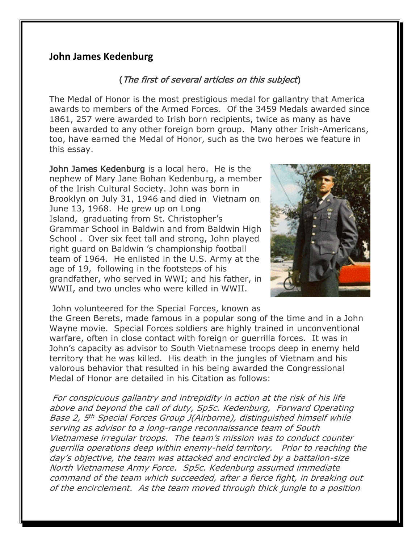## **John James Kedenburg**

## (The first of several articles on this subject)

The Medal of Honor is the most prestigious medal for gallantry that America awards to members of the Armed Forces. Of the 3459 Medals awarded since 1861, 257 were awarded to Irish born recipients, twice as many as have been awarded to any other foreign born group. Many other Irish-Americans, too, have earned the Medal of Honor, such as the two heroes we feature in this essay.

John James Kedenburg is a local hero. He is the nephew of Mary Jane Bohan Kedenburg, a member of the Irish Cultural Society. John was born in Brooklyn on July 31, 1946 and died in Vietnam on June 13, 1968. He grew up on Long Island, graduating from St. Christopher's Grammar School in Baldwin and from Baldwin High School . Over six feet tall and strong, John played right guard on Baldwin 's championship football team of 1964. He enlisted in the U.S. Army at the age of 19, following in the footsteps of his grandfather, who served in WWI; and his father, in WWII, and two uncles who were killed in WWII.



John volunteered for the Special Forces, known as the Green Berets, made famous in a popular song of the time and in a John Wayne movie. Special Forces soldiers are highly trained in unconventional warfare, often in close contact with foreign or guerrilla forces. It was in John's capacity as advisor to South Vietnamese troops deep in enemy held territory that he was killed. His death in the jungles of Vietnam and his valorous behavior that resulted in his being awarded the Congressional Medal of Honor are detailed in his Citation as follows:

For conspicuous gallantry and intrepidity in action at the risk of his life above and beyond the call of duty, Sp5c. Kedenburg, Forward Operating Base 2, 5<sup>th</sup> Special Forces Group J(Airborne), distinguished himself while serving as advisor to a long-range reconnaissance team of South Vietnamese irregular troops. The team's mission was to conduct counter guerrilla operations deep within enemy-held territory. Prior to reaching the day's objective, the team was attacked and encircled by a battalion-size North Vietnamese Army Force. Sp5c. Kedenburg assumed immediate command of the team which succeeded, after a fierce fight, in breaking out of the encirclement. As the team moved through thick jungle to a position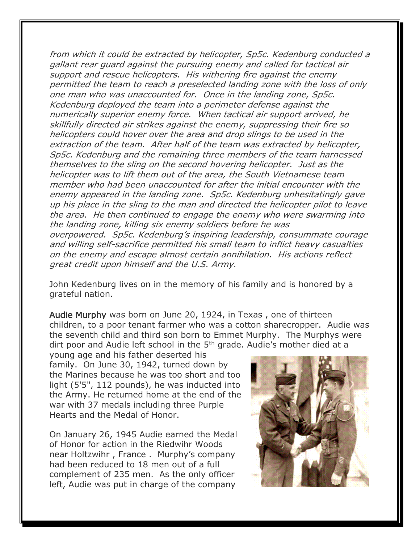from which it could be extracted by helicopter, Sp5c. Kedenburg conducted a gallant rear guard against the pursuing enemy and called for tactical air support and rescue helicopters. His withering fire against the enemy permitted the team to reach a preselected landing zone with the loss of only one man who was unaccounted for. Once in the landing zone, Sp5c. Kedenburg deployed the team into a perimeter defense against the numerically superior enemy force. When tactical air support arrived, he skillfully directed air strikes against the enemy, suppressing their fire so helicopters could hover over the area and drop slings to be used in the extraction of the team. After half of the team was extracted by helicopter, Sp5c. Kedenburg and the remaining three members of the team harnessed themselves to the sling on the second hovering helicopter. Just as the helicopter was to lift them out of the area, the South Vietnamese team member who had been unaccounted for after the initial encounter with the enemy appeared in the landing zone. Sp5c. Kedenburg unhesitatingly gave up his place in the sling to the man and directed the helicopter pilot to leave the area. He then continued to engage the enemy who were swarming into the landing zone, killing six enemy soldiers before he was overpowered. Sp5c. Kedenburg's inspiring leadership, consummate courage and willing self-sacrifice permitted his small team to inflict heavy casualties on the enemy and escape almost certain annihilation. His actions reflect great credit upon himself and the U.S. Army.

John Kedenburg lives on in the memory of his family and is honored by a grateful nation.

Audie Murphy was born on June 20, 1924, in Texas , one of thirteen children, to a poor tenant farmer who was a cotton sharecropper. Audie was the seventh child and third son born to Emmet Murphy. The Murphys were dirt poor and Audie left school in the 5<sup>th</sup> grade. Audie's mother died at a

young age and his father deserted his family. On June 30, 1942, turned down by the Marines because he was too short and too light (5'5", 112 pounds), he was inducted into the Army. He returned home at the end of the war with 37 medals including three Purple Hearts and the Medal of Honor.

On January 26, 1945 Audie earned the Medal of Honor for action in the Riedwihr Woods near Holtzwihr , France . Murphy's company had been reduced to 18 men out of a full complement of 235 men. As the only officer left, Audie was put in charge of the company